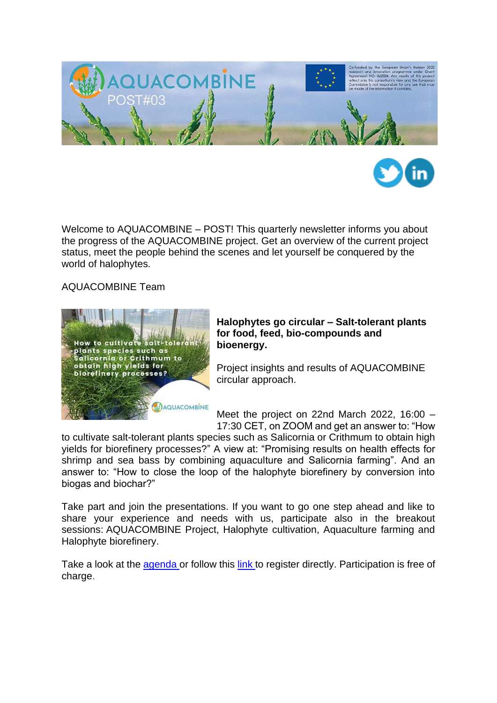



Welcome to AQUACOMBINE – POST! This quarterly newsletter informs you about the progress of the AQUACOMBINE project. Get an overview of the current project status, meet the people behind the scenes and let yourself be conquered by the world of halophytes.

AQUACOMBINE Team



## **Halophytes go circular – Salt-tolerant plants for food, feed, bio-compounds and bioenergy.**

Project insights and results of AQUACOMBINE circular approach.

Meet the project on 22nd March 2022, 16:00 – 17:30 CET, on ZOOM and get an answer to: "How

to cultivate salt-tolerant plants species such as Salicornia or Crithmum to obtain high yields for biorefinery processes?" A view at: "Promising results on health effects for shrimp and sea bass by combining aquaculture and Salicornia farming". And an answer to: "How to close the loop of the halophyte biorefinery by conversion into biogas and biochar?"

Take part and join the presentations. If you want to go one step ahead and like to share your experience and needs with us, participate also in the breakout sessions: AQUACOMBINE Project, Halophyte cultivation, Aquaculture farming and Halophyte biorefinery.

Take a look at the [agenda o](https://www.aquacombine.eu/wp-content/uploads/2022/02/AQUACOMBINE_Halophytes-go-circular_220322.pdf)r follow this [link t](https://us06web.zoom.us/meeting/register/tZwrfu2vrj4jG9MlPHIVyjZPFsuLy6sR-F2Y)o register directly. Participation is free of charge.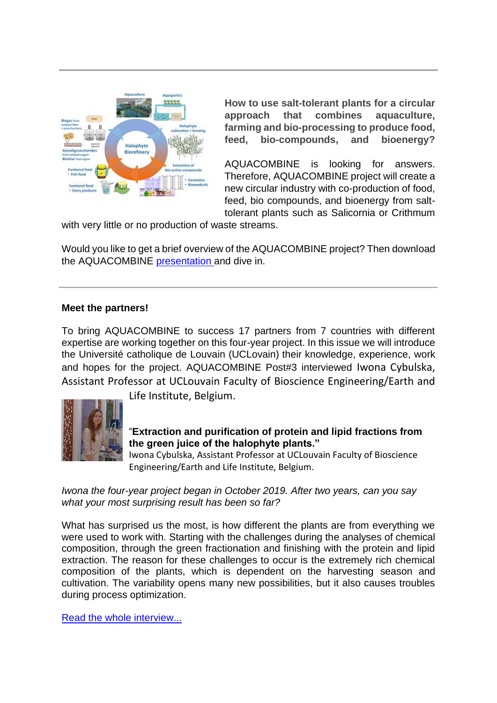

**How to use salt-tolerant plants for a circular approach that combines aquaculture, farming and bio-processing to produce food, feed, bio-compounds, and bioenergy?**

AQUACOMBINE is looking for answers. Therefore, AQUACOMBINE project will create a new circular industry with co-production of food, feed, bio compounds, and bioenergy from salttolerant plants such as Salicornia or Crithmum

with very little or no production of waste streams.

Would you like to get a brief overview of the AQUACOMBINE project? Then download the AQUACOMBINE [presentation a](https://www.aquacombine.eu/wp-content/uploads/2021/12/AQUACOMBINE_presentation_basis.pdf)nd dive in.

## **Meet the partners!**

To bring AQUACOMBINE to success 17 partners from 7 countries with different expertise are working together on this four-year project. In this issue we will introduce the Université catholique de Louvain (UCLovain) their knowledge, experience, work and hopes for the project. AQUACOMBINE Post#3 interviewed Iwona Cybulska, Assistant Professor at UCLouvain Faculty of Bioscience Engineering/Earth and



Life Institute, Belgium.

## "**Extraction and purification of protein and lipid fractions from the green juice of the halophyte plants."**

Iwona Cybulska, Assistant Professor at UCLouvain Faculty of Bioscience Engineering/Earth and Life Institute, Belgium.

*Iwona the four-year project began in October 2019. After two years, can you say what your most surprising result has been so far?*

What has surprised us the most, is how different the plants are from everything we were used to work with. Starting with the challenges during the analyses of chemical composition, through the green fractionation and finishing with the protein and lipid extraction. The reason for these challenges to occur is the extremely rich chemical composition of the plants, which is dependent on the harvesting season and cultivation. The variability opens many new possibilities, but it also causes troubles during process optimization.

[Read the whole interview...](https://www.aquacombine.eu/wp-content/uploads/2022/02/22-01-17_Interview_Iwona-Cybulska.pdf)